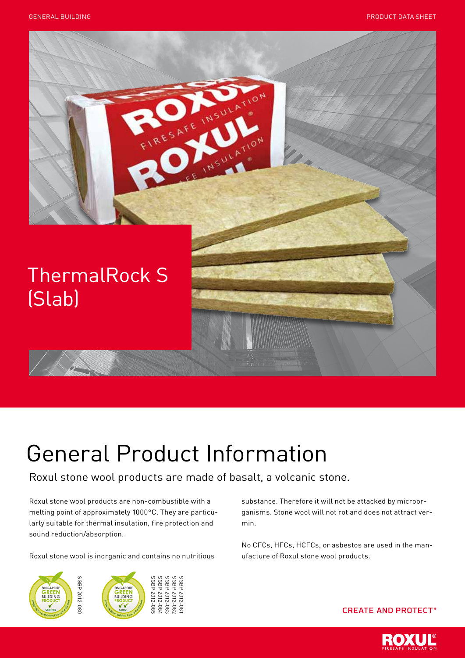

# General Product Information

Roxul stone wool products are made of basalt, a volcanic stone.

Roxul stone wool products are non-combustible with a melting point of approximately 1000°C. They are particularly suitable for thermal insulation, fire protection and sound reduction/absorption.

Roxul stone wool is inorganic and contains no nutritious



substance. Therefore it will not be attacked by microorganisms. Stone wool will not rot and does not attract vermin.

No CFCs, HFCs, HCFCs, or asbestos are used in the manufacture of Roxul stone wool products.

## **CREATE AND PROTECT®**

![](_page_0_Picture_11.jpeg)